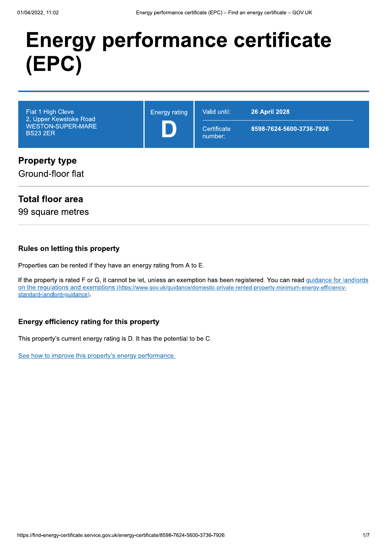## **Energy performance certificate** (EPC)



#### Ground-floor flat

#### **Total floor area**

99 square metres

#### **Rules on letting this property**

Properties can be rented if they have an energy rating from A to E.

If the property is rated F or G, it cannot be let, unless an exemption has been registered. You can read guidance for landlords on the regulations and exemptions (https://www.gov.uk/guidance/domestic-private-rented-property-minimum-energy-efficiencystandard-landlord-guidance).

#### Energy efficiency rating for this property

This property's current energy rating is D. It has the potential to be C.

See how to improve this property's energy performance.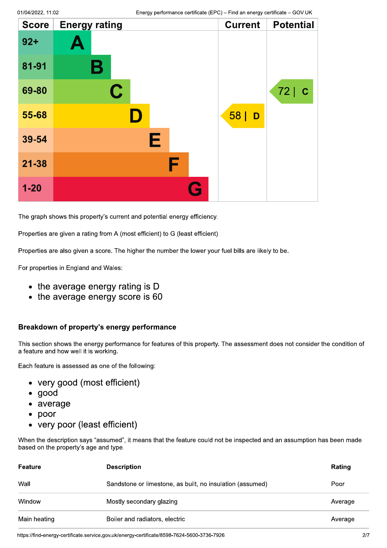| <b>Score</b> | <b>Energy rating</b> | <b>Current</b> | <b>Potential</b> |
|--------------|----------------------|----------------|------------------|
| $92 +$       | A                    |                |                  |
| 81-91        | Β                    |                |                  |
| 69-80        | $\mathbf C$          |                | 72   C           |
| 55-68        | II)                  | 58<br>D        |                  |
| 39-54        | Е                    |                |                  |
| $21 - 38$    | F                    |                |                  |
| $1 - 20$     | Q                    |                |                  |

The graph shows this property's current and potential energy efficiency.

Properties are given a rating from A (most efficient) to G (least efficient).

Properties are also given a score. The higher the number the lower your fuel bills are likely to be.

For properties in England and Wales:

- the average energy rating is D
- $\bullet$  the average energy score is 60

#### Breakdown of property's energy performance

This section shows the energy performance for features of this property. The assessment does not consider the condition of a feature and how well it is working.

Each feature is assessed as one of the following:

- very good (most efficient)
- $\bullet$  good
- average
- $\bullet$  poor
- very poor (least efficient)

When the description says "assumed", it means that the feature could not be inspected and an assumption has been made based on the property's age and type.

| Feature      | <b>Description</b>                                        | Rating  |
|--------------|-----------------------------------------------------------|---------|
| Wall         | Sandstone or limestone, as built, no insulation (assumed) | Poor    |
| Window       | Mostly secondary glazing                                  | Average |
| Main heating | Boiler and radiators, electric                            | Average |

https://find-energy-certificate.service.gov.uk/energy-certificate/8598-7624-5600-3736-7926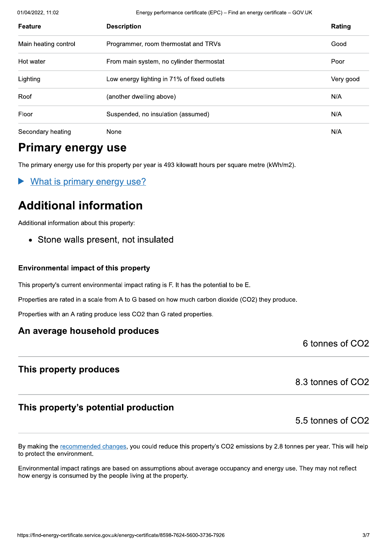01/04/2022, 11:02

Energy performance certificate (EPC) - Find an energy certificate - GOV.UK

| <b>Feature</b>       | <b>Description</b>                          | Rating    |
|----------------------|---------------------------------------------|-----------|
| Main heating control | Programmer, room thermostat and TRVs        | Good      |
| Hot water            | From main system, no cylinder thermostat    | Poor      |
| Lighting             | Low energy lighting in 71% of fixed outlets | Very good |
| Roof                 | (another dwelling above)                    | N/A       |
| Floor                | Suspended, no insulation (assumed)          | N/A       |
| Secondary heating    | None                                        | N/A       |

#### **Primary energy use**

The primary energy use for this property per year is 493 kilowatt hours per square metre (kWh/m2).

What is primary energy use?

### **Additional information**

Additional information about this property:

• Stone walls present, not insulated

#### **Environmental impact of this property**

This property's current environmental impact rating is F. It has the potential to be E.

Properties are rated in a scale from A to G based on how much carbon dioxide (CO2) they produce.

Properties with an A rating produce less CO2 than G rated properties.

#### An average household produces

6 tonnes of CO<sub>2</sub>

#### This property produces

8.3 tonnes of CO2

#### This property's potential production

5.5 tonnes of CO2

By making the recommended changes, you could reduce this property's CO2 emissions by 2.8 tonnes per year. This will help to protect the environment.

Environmental impact ratings are based on assumptions about average occupancy and energy use. They may not reflect how energy is consumed by the people living at the property.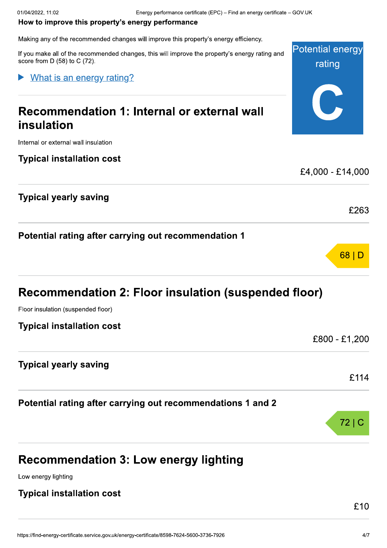Potential energy

rating

0

#### How to improve this property's energy performance

Making any of the recommended changes will improve this property's energy efficien

Energy performance certificate (EPC) – Find an energy c<br>
How to improve this property's energy performance<br>
Making any of the recommended changes will improve this property's energy efficiency.<br>
If you make all of the reco all of the recommended changes, this will improve the property's energy rating and score from  $D(58)$  to  $C(72)$ .

#### What is an energy rating?

# Recommendation 1: Internal or external wall insulation **Procedure Commendation 1: Internal or external wall<br>
Insulation<br>
Internal or external wall insulation<br>
Typical installation cost<br>
Fypical yearly saving<br>
Typical yearly saving<br>
E263**

Internal or exter

Potential rating after carrying out recommendation 1

| Recommendation 2: Floor insulation (suspended floor) |               |
|------------------------------------------------------|---------------|
| Floor insulation (suspended floor)                   |               |
| <b>Typical installation cost</b>                     |               |
|                                                      | £800 - £1,200 |
| <b>Typical yearly saving</b>                         |               |
|                                                      | £114          |

#### Recommendation 3: Low energy lighting

Low enerav liahtina

#### Typical installation cost

 $72|C$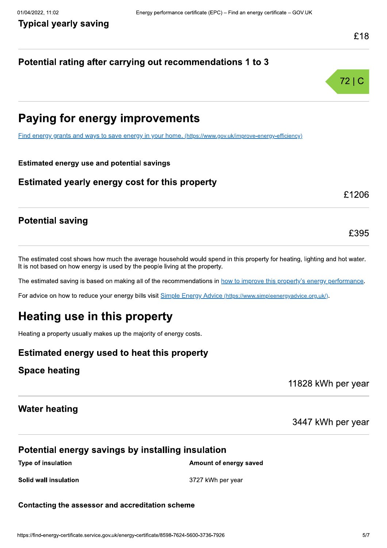#### Potential rating after carrying out recommendations 1 to 3



£1206

£395

### **Paying for energy improvements**

Find energy grants and ways to save energy in your home. (https://www.gov.uk/improve-energy-efficiency)

#### **Estimated energy use and potential savings**

Estimated yearly energy cost for this property

#### **Potential saving**

The estimated cost shows how much the average household would spend in this property for heating, lighting and hot water. It is not based on how energy is used by the people living at the property.

The estimated saving is based on making all of the recommendations in how to improve this property's energy performance.

For advice on how to reduce your energy bills visit Simple Energy Advice (https://www.simpleenergyadvice.org.uk/).

## Heating use in this property

Heating a property usually makes up the majority of energy costs.

#### Estimated energy used to heat this property

#### **Space heating**

11828 kWh per year

#### **Water heating**

3447 kWh per year

#### Potential energy savings by installing insulation

**Type of insulation** 

Amount of energy saved

Solid wall insulation

3727 kWh per year

#### Contacting the assessor and accreditation scheme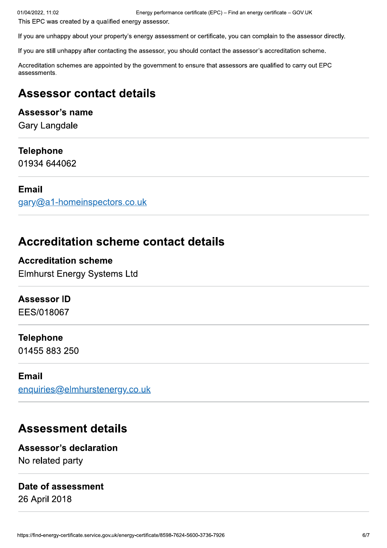This EPC was created by a qualified energy assessor.

If you are unhappy about your property's energy assessment or certificate, you can complain to the assessor directly.

If you are still unhappy after contacting the assessor, you should contact the assessor's accreditation scheme.

Accreditation schemes are appointed by the government to ensure that assessors are qualified to carry out EPC assessments.

#### **Assessor contact details**

#### Assessor's name

**Gary Langdale** 

#### **Telephone**

01934 644062

#### **Email**

gary@a1-homeinspectors.co.uk

#### **Accreditation scheme contact details**

#### **Accreditation scheme**

**Elmhurst Energy Systems Ltd** 

#### **Assessor ID**

EES/018067

#### **Telephone**

01455 883 250

#### **Email**

enquiries@elmhurstenergy.co.uk

#### **Assessment details**

#### **Assessor's declaration** No related party

#### Date of assessment

26 April 2018